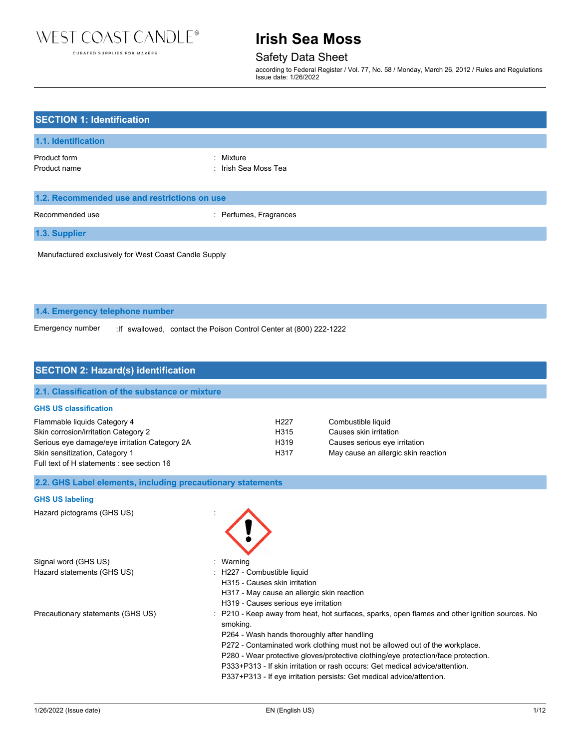

#### CURATED SUPPLIES FOR MAKERS

# **Irish Sea Moss**

Safety Data Sheet

according to Federal Register / Vol. 77, No. 58 / Monday, March 26, 2012 / Rules and Regulations Issue date: 1/26/2022

| <b>SECTION 1: Identification</b>                      |                                   |  |
|-------------------------------------------------------|-----------------------------------|--|
| 1.1. Identification                                   |                                   |  |
| Product form<br>Product name                          | : Mixture<br>: Irish Sea Moss Tea |  |
| 1.2. Recommended use and restrictions on use          |                                   |  |
| Recommended use                                       | : Perfumes, Fragrances            |  |
| 1.3. Supplier                                         |                                   |  |
| Manufactured exclusively for West Coast Candle Supply |                                   |  |
|                                                       |                                   |  |

**1.4. Emergency telephone number**

Emergency number :If swallowed, contact the Poison Control Center at (800) 222-1222

### **SECTION 2: Hazard(s) identification**

| 2.1. Classification of the substance or mixture |                   |                                     |  |
|-------------------------------------------------|-------------------|-------------------------------------|--|
| <b>GHS US classification</b>                    |                   |                                     |  |
| Flammable liquids Category 4                    | H <sub>22</sub> 7 | Combustible liquid                  |  |
| Skin corrosion/irritation Category 2            | H <sub>315</sub>  | Causes skin irritation              |  |
| Serious eye damage/eye irritation Category 2A   | H319              | Causes serious eye irritation       |  |
| Skin sensitization, Category 1                  | H317              | May cause an allergic skin reaction |  |
| Full text of H statements : see section 16      |                   |                                     |  |

**2.2. GHS Label elements, including precautionary statements**

#### **GHS US labeling**

Hazard pictograms (GHS US) :

Signal word (GHS US) **in the state of the Signal word (GHS US)** and the state of the state of the state of the state of the state of the state of the state of the state of the state of the state of the state of the state o Hazard statements (GHS US) : H227 - Combustible liquid



- 
- 
- H315 Causes skin irritation
- H317 May cause an allergic skin reaction
- H319 Causes serious eye irritation
- Precautionary statements (GHS US) : P210 Keep away from heat, hot surfaces, sparks, open flames and other ignition sources. No smoking.
	- P264 Wash hands thoroughly after handling
	- P272 Contaminated work clothing must not be allowed out of the workplace.
	- P280 Wear protective gloves/protective clothing/eye protection/face protection.
	- P333+P313 If skin irritation or rash occurs: Get medical advice/attention.
	- P337+P313 If eye irritation persists: Get medical advice/attention.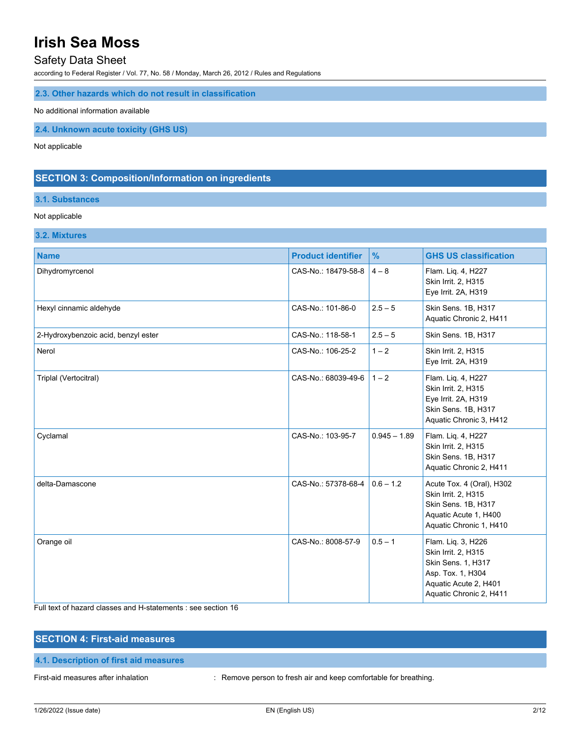### Safety Data Sheet

according to Federal Register / Vol. 77, No. 58 / Monday, March 26, 2012 / Rules and Regulations

### **2.3. Other hazards which do not result in classification**

#### No additional information available

**2.4. Unknown acute toxicity (GHS US)**

Not applicable

## **SECTION 3: Composition/Information on ingredients**

# **3.1. Substances**

### Not applicable

**3.2. Mixtures**

| <b>Name</b>                         | <b>Product identifier</b> | $\frac{9}{6}$  | <b>GHS US classification</b>                                                                                                             |
|-------------------------------------|---------------------------|----------------|------------------------------------------------------------------------------------------------------------------------------------------|
| Dihydromyrcenol                     | CAS-No.: 18479-58-8       | $4 - 8$        | Flam. Liq. 4, H227<br>Skin Irrit. 2, H315<br>Eye Irrit. 2A, H319                                                                         |
| Hexyl cinnamic aldehyde             | CAS-No.: 101-86-0         | $2.5 - 5$      | Skin Sens. 1B, H317<br>Aquatic Chronic 2, H411                                                                                           |
| 2-Hydroxybenzoic acid, benzyl ester | CAS-No.: 118-58-1         | $2.5 - 5$      | Skin Sens. 1B, H317                                                                                                                      |
| Nerol                               | CAS-No.: 106-25-2         | $1 - 2$        | Skin Irrit. 2, H315<br>Eye Irrit. 2A, H319                                                                                               |
| Triplal (Vertocitral)               | CAS-No.: 68039-49-6       | $1 - 2$        | Flam. Liq. 4, H227<br>Skin Irrit. 2, H315<br>Eye Irrit. 2A, H319<br>Skin Sens. 1B, H317<br>Aquatic Chronic 3, H412                       |
| Cyclamal                            | CAS-No.: 103-95-7         | $0.945 - 1.89$ | Flam. Liq. 4, H227<br>Skin Irrit. 2, H315<br>Skin Sens. 1B, H317<br>Aquatic Chronic 2, H411                                              |
| delta-Damascone                     | CAS-No.: 57378-68-4       | $0.6 - 1.2$    | Acute Tox. 4 (Oral), H302<br>Skin Irrit. 2, H315<br>Skin Sens. 1B, H317<br>Aquatic Acute 1, H400<br>Aquatic Chronic 1, H410              |
| Orange oil                          | CAS-No.: 8008-57-9        | $0.5 - 1$      | Flam. Liq. 3, H226<br>Skin Irrit. 2, H315<br>Skin Sens. 1, H317<br>Asp. Tox. 1, H304<br>Aquatic Acute 2, H401<br>Aquatic Chronic 2, H411 |

Full text of hazard classes and H-statements : see section 16

| <b>SECTION 4: First-aid measures</b>   |                                                                  |
|----------------------------------------|------------------------------------------------------------------|
| 4.1. Description of first aid measures |                                                                  |
| First-aid measures after inhalation    | : Remove person to fresh air and keep comfortable for breathing. |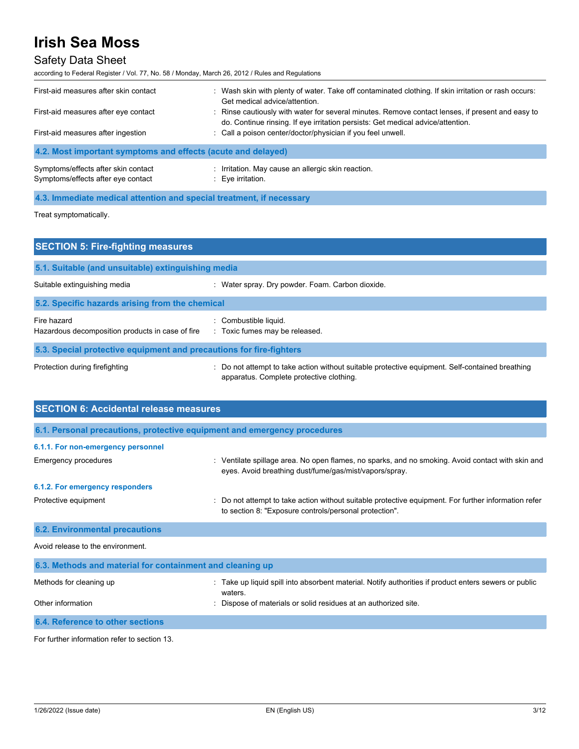# Safety Data Sheet

according to Federal Register / Vol. 77, No. 58 / Monday, March 26, 2012 / Rules and Regulations

| First-aid measures after skin contact                        | : Wash skin with plenty of water. Take off contaminated clothing. If skin irritation or rash occurs:<br>Get medical advice/attention.                                               |
|--------------------------------------------------------------|-------------------------------------------------------------------------------------------------------------------------------------------------------------------------------------|
| First-aid measures after eye contact                         | : Rinse cautiously with water for several minutes. Remove contact lenses, if present and easy to<br>do. Continue rinsing. If eye irritation persists: Get medical advice/attention. |
| First-aid measures after ingestion                           | : Call a poison center/doctor/physician if you feel unwell.                                                                                                                         |
| 4.2. Most important symptoms and effects (acute and delayed) |                                                                                                                                                                                     |

| Symptoms/effects after skin contact | : Irritation. May cause an allergic skin reaction. |
|-------------------------------------|----------------------------------------------------|
| Symptoms/effects after eye contact  | : Eye irritation.                                  |

### **4.3. Immediate medical attention and special treatment, if necessary**

Treat symptomatically.

| <b>SECTION 5: Fire-fighting measures</b>                            |                                                                                                                                             |  |  |
|---------------------------------------------------------------------|---------------------------------------------------------------------------------------------------------------------------------------------|--|--|
| 5.1. Suitable (and unsuitable) extinguishing media                  |                                                                                                                                             |  |  |
| Suitable extinguishing media                                        | : Water spray. Dry powder. Foam. Carbon dioxide.                                                                                            |  |  |
| 5.2. Specific hazards arising from the chemical                     |                                                                                                                                             |  |  |
| Fire hazard<br>Hazardous decomposition products in case of fire     | Combustible liquid.<br>: Toxic fumes may be released.                                                                                       |  |  |
| 5.3. Special protective equipment and precautions for fire-fighters |                                                                                                                                             |  |  |
| Protection during firefighting                                      | : Do not attempt to take action without suitable protective equipment. Self-contained breathing<br>apparatus. Complete protective clothing. |  |  |

| <b>SECTION 6: Accidental release measures</b>                            |                                                                                                                                                              |  |
|--------------------------------------------------------------------------|--------------------------------------------------------------------------------------------------------------------------------------------------------------|--|
| 6.1. Personal precautions, protective equipment and emergency procedures |                                                                                                                                                              |  |
| 6.1.1. For non-emergency personnel                                       |                                                                                                                                                              |  |
| Emergency procedures                                                     | : Ventilate spillage area. No open flames, no sparks, and no smoking. Avoid contact with skin and<br>eyes. Avoid breathing dust/fume/gas/mist/vapors/spray.  |  |
| 6.1.2. For emergency responders                                          |                                                                                                                                                              |  |
| Protective equipment                                                     | Do not attempt to take action without suitable protective equipment. For further information refer<br>to section 8: "Exposure controls/personal protection". |  |
| <b>6.2. Environmental precautions</b>                                    |                                                                                                                                                              |  |
| Avoid release to the environment.                                        |                                                                                                                                                              |  |
| 6.3. Methods and material for containment and cleaning up                |                                                                                                                                                              |  |
| Methods for cleaning up                                                  | Take up liquid spill into absorbent material. Notify authorities if product enters sewers or public<br>waters.                                               |  |
| Other information                                                        | Dispose of materials or solid residues at an authorized site.                                                                                                |  |

**6.4. Reference to other sections**

For further information refer to section 13.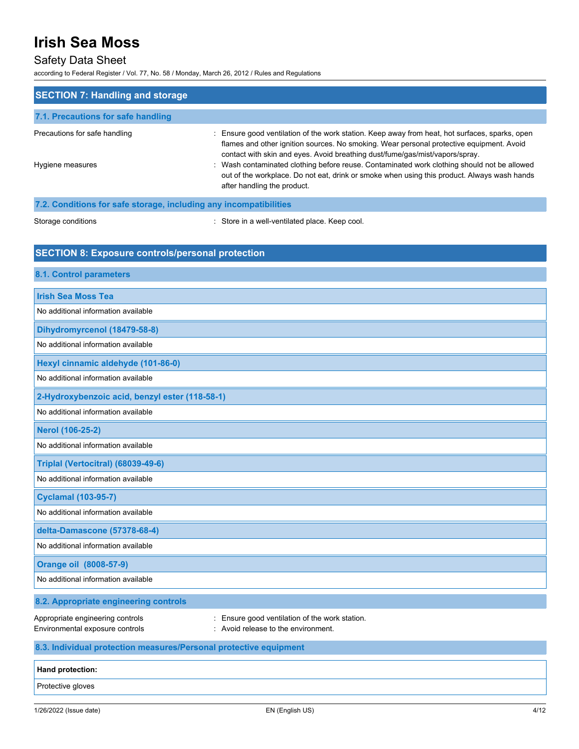# Safety Data Sheet

according to Federal Register / Vol. 77, No. 58 / Monday, March 26, 2012 / Rules and Regulations

| <b>SECTION 7: Handling and storage</b>                              |                                                                                                                                                                                                                                                                            |  |
|---------------------------------------------------------------------|----------------------------------------------------------------------------------------------------------------------------------------------------------------------------------------------------------------------------------------------------------------------------|--|
| 7.1. Precautions for safe handling                                  |                                                                                                                                                                                                                                                                            |  |
| Precautions for safe handling                                       | : Ensure good ventilation of the work station. Keep away from heat, hot surfaces, sparks, open<br>flames and other ignition sources. No smoking. Wear personal protective equipment. Avoid<br>contact with skin and eyes. Avoid breathing dust/fume/gas/mist/vapors/spray. |  |
| Hygiene measures                                                    | : Wash contaminated clothing before reuse. Contaminated work clothing should not be allowed<br>out of the workplace. Do not eat, drink or smoke when using this product. Always wash hands<br>after handling the product.                                                  |  |
| 7.2. Conditions for safe storage, including any incompatibilities   |                                                                                                                                                                                                                                                                            |  |
| Storage conditions                                                  | : Store in a well-ventilated place. Keep cool.                                                                                                                                                                                                                             |  |
| <b>SECTION 8: Exposure controls/personal protection</b>             |                                                                                                                                                                                                                                                                            |  |
| 8.1. Control parameters                                             |                                                                                                                                                                                                                                                                            |  |
| <b>Irish Sea Moss Tea</b>                                           |                                                                                                                                                                                                                                                                            |  |
| No additional information available                                 |                                                                                                                                                                                                                                                                            |  |
| Dihydromyrcenol (18479-58-8)                                        |                                                                                                                                                                                                                                                                            |  |
| No additional information available                                 |                                                                                                                                                                                                                                                                            |  |
| Hexyl cinnamic aldehyde (101-86-0)                                  |                                                                                                                                                                                                                                                                            |  |
| No additional information available                                 |                                                                                                                                                                                                                                                                            |  |
| 2-Hydroxybenzoic acid, benzyl ester (118-58-1)                      |                                                                                                                                                                                                                                                                            |  |
| No additional information available                                 |                                                                                                                                                                                                                                                                            |  |
| Nerol (106-25-2)                                                    |                                                                                                                                                                                                                                                                            |  |
| No additional information available                                 |                                                                                                                                                                                                                                                                            |  |
| Triplal (Vertocitral) (68039-49-6)                                  |                                                                                                                                                                                                                                                                            |  |
| No additional information available                                 |                                                                                                                                                                                                                                                                            |  |
| <b>Cyclamal (103-95-7)</b>                                          |                                                                                                                                                                                                                                                                            |  |
| No additional information available                                 |                                                                                                                                                                                                                                                                            |  |
| delta-Damascone (57378-68-4)                                        |                                                                                                                                                                                                                                                                            |  |
| No additional information available                                 |                                                                                                                                                                                                                                                                            |  |
| <b>Orange oil (8008-57-9)</b>                                       |                                                                                                                                                                                                                                                                            |  |
| No additional information available                                 |                                                                                                                                                                                                                                                                            |  |
| 8.2. Appropriate engineering controls                               |                                                                                                                                                                                                                                                                            |  |
| Appropriate engineering controls<br>Environmental exposure controls | Ensure good ventilation of the work station.<br>Avoid release to the environment.                                                                                                                                                                                          |  |
| 8.3. Individual protection measures/Personal protective equipment   |                                                                                                                                                                                                                                                                            |  |
| Hand protection:                                                    |                                                                                                                                                                                                                                                                            |  |
| Protective gloves                                                   |                                                                                                                                                                                                                                                                            |  |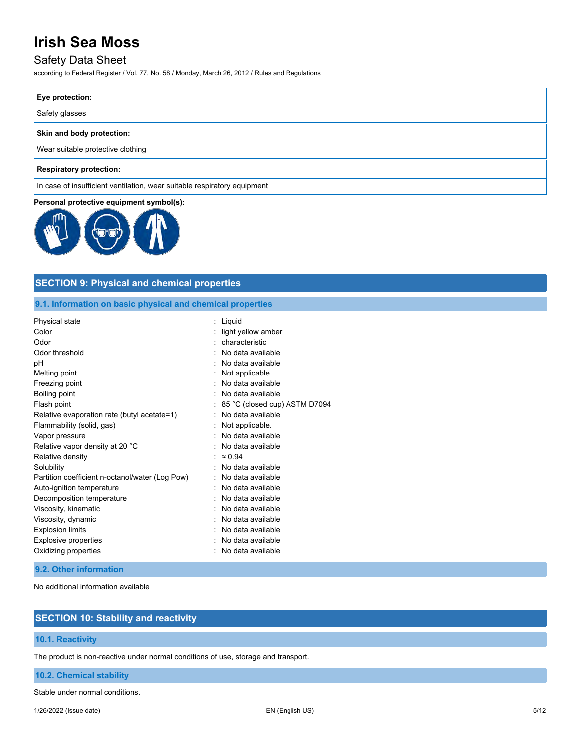### Safety Data Sheet

according to Federal Register / Vol. 77, No. 58 / Monday, March 26, 2012 / Rules and Regulations

| <b>Eye protection:</b>            |  |
|-----------------------------------|--|
| Safety glasses                    |  |
| Skin and body protection:         |  |
| Wear suitable protective clothing |  |
| $\Box$                            |  |

#### **Respiratory protection:**

In case of insufficient ventilation, wear suitable respiratory equipment

#### **Personal protective equipment symbol(s):**



# **SECTION 9: Physical and chemical properties**

#### **9.1. Information on basic physical and chemical properties**

| Physical state                                  | : Liquid                      |
|-------------------------------------------------|-------------------------------|
| Color                                           | light yellow amber            |
| Odor                                            | characteristic                |
| Odor threshold                                  | No data available             |
| рH                                              | No data available             |
| Melting point                                   | Not applicable                |
| Freezing point                                  | No data available             |
| Boiling point                                   | No data available             |
| Flash point                                     | 85 °C (closed cup) ASTM D7094 |
| Relative evaporation rate (butyl acetate=1)     | No data available             |
| Flammability (solid, gas)                       | Not applicable.               |
| Vapor pressure                                  | No data available             |
| Relative vapor density at 20 °C                 | No data available             |
| Relative density                                | $\approx 0.94$                |
| Solubility                                      | No data available             |
| Partition coefficient n-octanol/water (Log Pow) | No data available             |
| Auto-ignition temperature                       | No data available             |
| Decomposition temperature                       | No data available             |
| Viscosity, kinematic                            | No data available             |
| Viscosity, dynamic                              | No data available             |
| <b>Explosion limits</b>                         | No data available             |
| Explosive properties                            | No data available             |
| Oxidizing properties                            | No data available             |
|                                                 |                               |

#### **9.2. Other information**

No additional information available

# **SECTION 10: Stability and reactivity**

### **10.1. Reactivity**

The product is non-reactive under normal conditions of use, storage and transport.

### **10.2. Chemical stability**

Stable under normal conditions.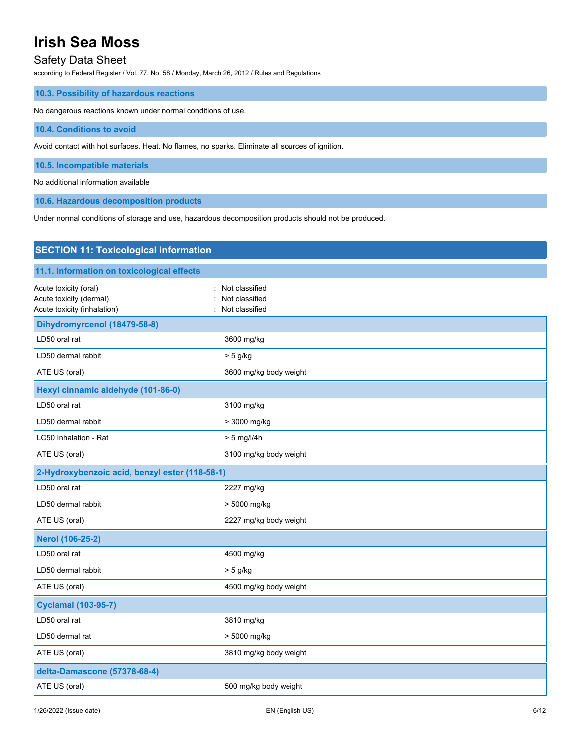## Safety Data Sheet

according to Federal Register / Vol. 77, No. 58 / Monday, March 26, 2012 / Rules and Regulations

### **10.3. Possibility of hazardous reactions**

No dangerous reactions known under normal conditions of use.

#### **10.4. Conditions to avoid**

Avoid contact with hot surfaces. Heat. No flames, no sparks. Eliminate all sources of ignition.

**10.5. Incompatible materials**

No additional information available

**10.6. Hazardous decomposition products**

Under normal conditions of storage and use, hazardous decomposition products should not be produced.

| <b>SECTION 11: Toxicological information</b>                                    |                                                      |  |
|---------------------------------------------------------------------------------|------------------------------------------------------|--|
| 11.1. Information on toxicological effects                                      |                                                      |  |
| Acute toxicity (oral)<br>Acute toxicity (dermal)<br>Acute toxicity (inhalation) | : Not classified<br>Not classified<br>Not classified |  |
| Dihydromyrcenol (18479-58-8)                                                    |                                                      |  |
| LD50 oral rat                                                                   | 3600 mg/kg                                           |  |
| LD50 dermal rabbit                                                              | $> 5$ g/kg                                           |  |
| ATE US (oral)                                                                   | 3600 mg/kg body weight                               |  |
| Hexyl cinnamic aldehyde (101-86-0)                                              |                                                      |  |
| LD50 oral rat                                                                   | 3100 mg/kg                                           |  |
| LD50 dermal rabbit                                                              | > 3000 mg/kg                                         |  |
| LC50 Inhalation - Rat                                                           | $> 5$ mg/l/4h                                        |  |
| ATE US (oral)                                                                   | 3100 mg/kg body weight                               |  |
| 2-Hydroxybenzoic acid, benzyl ester (118-58-1)                                  |                                                      |  |
| LD50 oral rat                                                                   | 2227 mg/kg                                           |  |
| LD50 dermal rabbit                                                              | > 5000 mg/kg                                         |  |
| ATE US (oral)                                                                   | 2227 mg/kg body weight                               |  |
| <b>Nerol (106-25-2)</b>                                                         |                                                      |  |
| LD50 oral rat                                                                   | 4500 mg/kg                                           |  |
| LD50 dermal rabbit                                                              | $> 5$ g/kg                                           |  |
| ATE US (oral)                                                                   | 4500 mg/kg body weight                               |  |
| <b>Cyclamal (103-95-7)</b>                                                      |                                                      |  |
| LD50 oral rat                                                                   | 3810 mg/kg                                           |  |
| LD50 dermal rat                                                                 | > 5000 mg/kg                                         |  |
| ATE US (oral)                                                                   | 3810 mg/kg body weight                               |  |
| delta-Damascone (57378-68-4)                                                    |                                                      |  |
| ATE US (oral)                                                                   | 500 mg/kg body weight                                |  |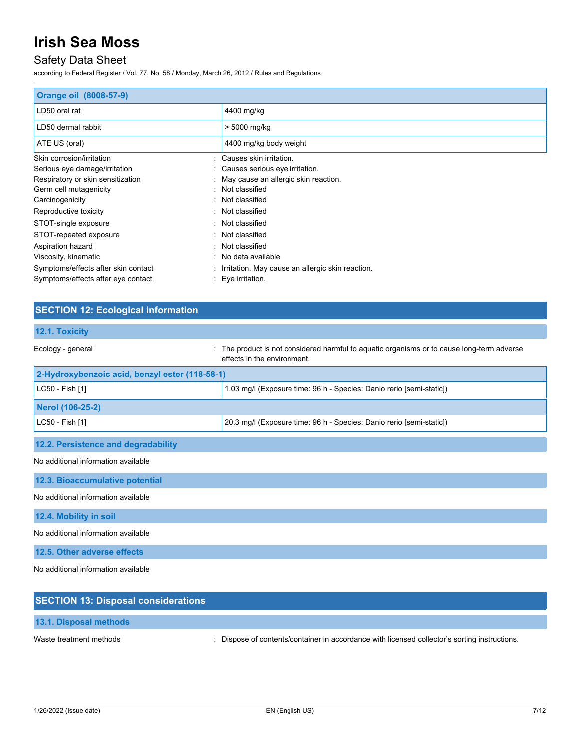# Safety Data Sheet

according to Federal Register / Vol. 77, No. 58 / Monday, March 26, 2012 / Rules and Regulations

| Orange oil (8008-57-9)              |                                                  |
|-------------------------------------|--------------------------------------------------|
| LD50 oral rat                       | 4400 mg/kg                                       |
| LD50 dermal rabbit                  | > 5000 mg/kg                                     |
| ATE US (oral)                       | 4400 mg/kg body weight                           |
| Skin corrosion/irritation           | : Causes skin irritation.                        |
| Serious eye damage/irritation       | Causes serious eye irritation.                   |
| Respiratory or skin sensitization   | May cause an allergic skin reaction.             |
| Germ cell mutagenicity              | Not classified                                   |
| Carcinogenicity                     | Not classified                                   |
| Reproductive toxicity               | Not classified                                   |
| STOT-single exposure                | : Not classified                                 |
| STOT-repeated exposure              | Not classified                                   |
| Aspiration hazard                   | Not classified                                   |
| Viscosity, kinematic                | No data available                                |
| Symptoms/effects after skin contact | Irritation. May cause an allergic skin reaction. |
| Symptoms/effects after eye contact  | Eye irritation.                                  |

# **SECTION 12: Ecological information**

# **12.1. Toxicity**

| Ecology - general                              | : The product is not considered harmful to aguatic organisms or to cause long-term adverse<br>effects in the environment. |
|------------------------------------------------|---------------------------------------------------------------------------------------------------------------------------|
| 2-Hydroxybenzoic acid, benzyl ester (118-58-1) |                                                                                                                           |
| LC50 - Fish [1]                                | 1.03 mg/l (Exposure time: 96 h - Species: Danio rerio [semi-static])                                                      |
| Nerol (106-25-2)                               |                                                                                                                           |
| LC50 - Fish [1]                                | 20.3 mg/l (Exposure time: 96 h - Species: Danio rerio [semi-static])                                                      |
| 12.2. Persistence and degradability            |                                                                                                                           |

No additional information available

**12.3. Bioaccumulative potential**

No additional information available

**12.4. Mobility in soil**

No additional information available

**12.5. Other adverse effects**

No additional information available

| <b>SECTION 13: Disposal considerations</b> |                                                                                               |
|--------------------------------------------|-----------------------------------------------------------------------------------------------|
| <b>13.1. Disposal methods</b>              |                                                                                               |
| Waste treatment methods                    | : Dispose of contents/container in accordance with licensed collector's sorting instructions. |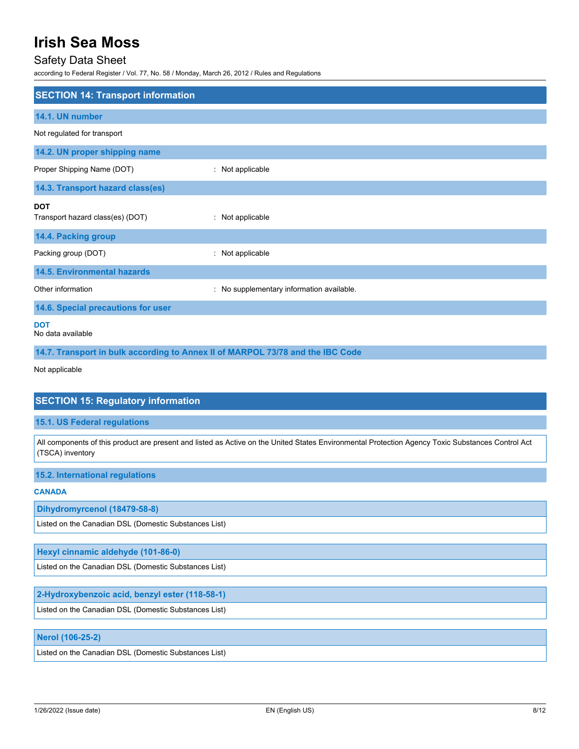## Safety Data Sheet

according to Federal Register / Vol. 77, No. 58 / Monday, March 26, 2012 / Rules and Regulations

| <b>SECTION 14: Transport information</b>                                       |                                         |
|--------------------------------------------------------------------------------|-----------------------------------------|
| 14.1. UN number                                                                |                                         |
| Not regulated for transport                                                    |                                         |
| 14.2. UN proper shipping name                                                  |                                         |
| Proper Shipping Name (DOT)                                                     | : Not applicable                        |
| 14.3. Transport hazard class(es)                                               |                                         |
| <b>DOT</b><br>Transport hazard class(es) (DOT)                                 | : Not applicable                        |
| 14.4. Packing group                                                            |                                         |
| Packing group (DOT)                                                            | Not applicable                          |
| <b>14.5. Environmental hazards</b>                                             |                                         |
| Other information                                                              | No supplementary information available. |
| 14.6. Special precautions for user                                             |                                         |
| <b>DOT</b><br>No data available                                                |                                         |
| 14.7. Transport in bulk according to Annex II of MARPOL 73/78 and the IBC Code |                                         |

Not applicable

### **SECTION 15: Regulatory information**

#### **15.1. US Federal regulations**

All components of this product are present and listed as Active on the United States Environmental Protection Agency Toxic Substances Control Act (TSCA) inventory

#### **15.2. International regulations**

**CANADA**

#### **Dihydromyrcenol (18479-58-8)**

Listed on the Canadian DSL (Domestic Substances List)

#### **Hexyl cinnamic aldehyde (101-86-0)**

Listed on the Canadian DSL (Domestic Substances List)

#### **2-Hydroxybenzoic acid, benzyl ester (118-58-1)**

Listed on the Canadian DSL (Domestic Substances List)

### **Nerol (106-25-2)**

Listed on the Canadian DSL (Domestic Substances List)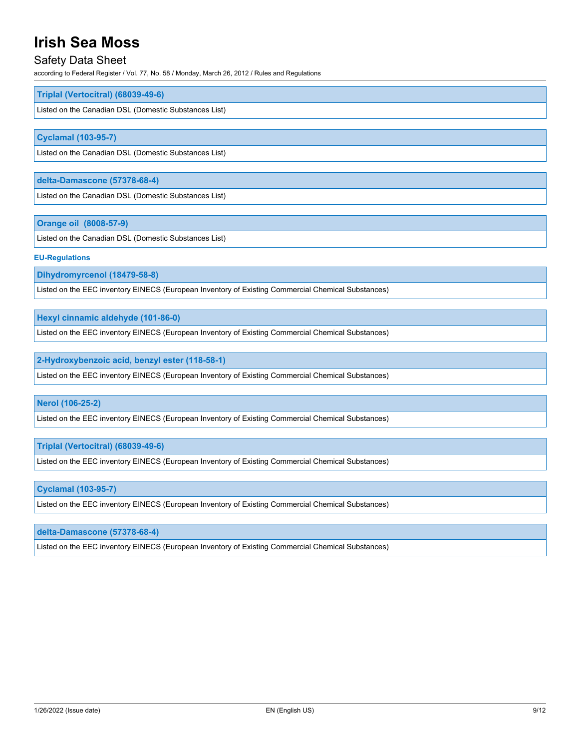## Safety Data Sheet

according to Federal Register / Vol. 77, No. 58 / Monday, March 26, 2012 / Rules and Regulations

#### **Triplal (Vertocitral) (68039-49-6)**

Listed on the Canadian DSL (Domestic Substances List)

#### **Cyclamal (103-95-7)**

Listed on the Canadian DSL (Domestic Substances List)

#### **delta-Damascone (57378-68-4)**

Listed on the Canadian DSL (Domestic Substances List)

#### **Orange oil (8008-57-9)**

Listed on the Canadian DSL (Domestic Substances List)

#### **EU-Regulations**

**Dihydromyrcenol (18479-58-8)**

Listed on the EEC inventory EINECS (European Inventory of Existing Commercial Chemical Substances)

**Hexyl cinnamic aldehyde (101-86-0)**

Listed on the EEC inventory EINECS (European Inventory of Existing Commercial Chemical Substances)

**2-Hydroxybenzoic acid, benzyl ester (118-58-1)**

Listed on the EEC inventory EINECS (European Inventory of Existing Commercial Chemical Substances)

#### **Nerol (106-25-2)**

Listed on the EEC inventory EINECS (European Inventory of Existing Commercial Chemical Substances)

**Triplal (Vertocitral) (68039-49-6)**

Listed on the EEC inventory EINECS (European Inventory of Existing Commercial Chemical Substances)

#### **Cyclamal (103-95-7)**

Listed on the EEC inventory EINECS (European Inventory of Existing Commercial Chemical Substances)

#### **delta-Damascone (57378-68-4)**

Listed on the EEC inventory EINECS (European Inventory of Existing Commercial Chemical Substances)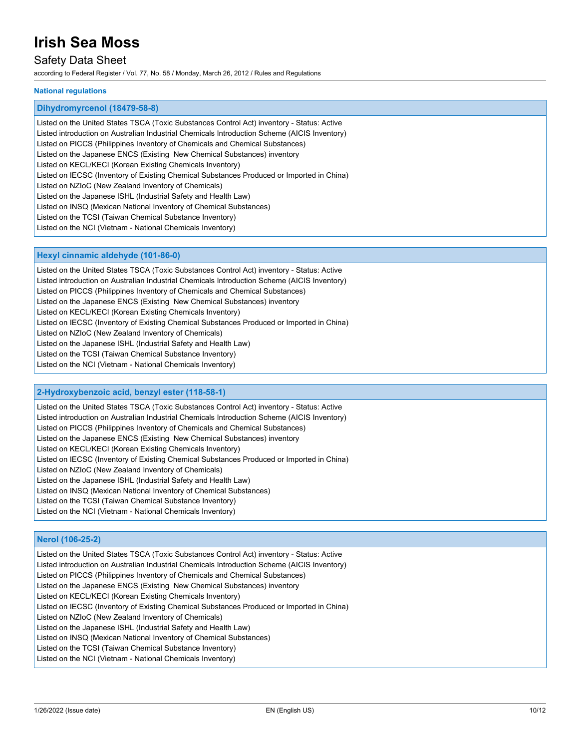# Safety Data Sheet

according to Federal Register / Vol. 77, No. 58 / Monday, March 26, 2012 / Rules and Regulations

#### **National regulations**

#### **Dihydromyrcenol (18479-58-8)**

Listed on the United States TSCA (Toxic Substances Control Act) inventory - Status: Active Listed introduction on Australian Industrial Chemicals Introduction Scheme (AICIS Inventory) Listed on PICCS (Philippines Inventory of Chemicals and Chemical Substances) Listed on the Japanese ENCS (Existing New Chemical Substances) inventory Listed on KECL/KECI (Korean Existing Chemicals Inventory) Listed on IECSC (Inventory of Existing Chemical Substances Produced or Imported in China) Listed on NZIoC (New Zealand Inventory of Chemicals) Listed on the Japanese ISHL (Industrial Safety and Health Law) Listed on INSQ (Mexican National Inventory of Chemical Substances) Listed on the TCSI (Taiwan Chemical Substance Inventory) Listed on the NCI (Vietnam - National Chemicals Inventory)

#### **Hexyl cinnamic aldehyde (101-86-0)**

Listed on the United States TSCA (Toxic Substances Control Act) inventory - Status: Active Listed introduction on Australian Industrial Chemicals Introduction Scheme (AICIS Inventory) Listed on PICCS (Philippines Inventory of Chemicals and Chemical Substances) Listed on the Japanese ENCS (Existing New Chemical Substances) inventory Listed on KECL/KECI (Korean Existing Chemicals Inventory) Listed on IECSC (Inventory of Existing Chemical Substances Produced or Imported in China) Listed on NZIoC (New Zealand Inventory of Chemicals) Listed on the Japanese ISHL (Industrial Safety and Health Law) Listed on the TCSI (Taiwan Chemical Substance Inventory) Listed on the NCI (Vietnam - National Chemicals Inventory)

#### **2-Hydroxybenzoic acid, benzyl ester (118-58-1)**

Listed on the United States TSCA (Toxic Substances Control Act) inventory - Status: Active Listed introduction on Australian Industrial Chemicals Introduction Scheme (AICIS Inventory) Listed on PICCS (Philippines Inventory of Chemicals and Chemical Substances) Listed on the Japanese ENCS (Existing New Chemical Substances) inventory Listed on KECL/KECI (Korean Existing Chemicals Inventory) Listed on IECSC (Inventory of Existing Chemical Substances Produced or Imported in China) Listed on NZIoC (New Zealand Inventory of Chemicals) Listed on the Japanese ISHL (Industrial Safety and Health Law) Listed on INSQ (Mexican National Inventory of Chemical Substances) Listed on the TCSI (Taiwan Chemical Substance Inventory) Listed on the NCI (Vietnam - National Chemicals Inventory)

#### **Nerol (106-25-2)**

Listed on the United States TSCA (Toxic Substances Control Act) inventory - Status: Active Listed introduction on Australian Industrial Chemicals Introduction Scheme (AICIS Inventory) Listed on PICCS (Philippines Inventory of Chemicals and Chemical Substances) Listed on the Japanese ENCS (Existing New Chemical Substances) inventory Listed on KECL/KECI (Korean Existing Chemicals Inventory) Listed on IECSC (Inventory of Existing Chemical Substances Produced or Imported in China) Listed on NZIoC (New Zealand Inventory of Chemicals) Listed on the Japanese ISHL (Industrial Safety and Health Law) Listed on INSQ (Mexican National Inventory of Chemical Substances) Listed on the TCSI (Taiwan Chemical Substance Inventory) Listed on the NCI (Vietnam - National Chemicals Inventory)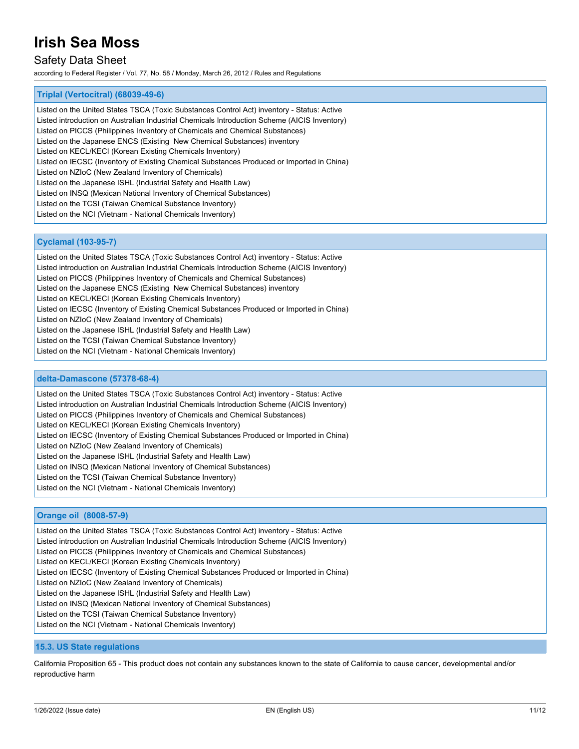# Safety Data Sheet

according to Federal Register / Vol. 77, No. 58 / Monday, March 26, 2012 / Rules and Regulations

#### **Triplal (Vertocitral) (68039-49-6)**

Listed on the United States TSCA (Toxic Substances Control Act) inventory - Status: Active Listed introduction on Australian Industrial Chemicals Introduction Scheme (AICIS Inventory) Listed on PICCS (Philippines Inventory of Chemicals and Chemical Substances) Listed on the Japanese ENCS (Existing New Chemical Substances) inventory Listed on KECL/KECI (Korean Existing Chemicals Inventory) Listed on IECSC (Inventory of Existing Chemical Substances Produced or Imported in China) Listed on NZIoC (New Zealand Inventory of Chemicals) Listed on the Japanese ISHL (Industrial Safety and Health Law) Listed on INSQ (Mexican National Inventory of Chemical Substances) Listed on the TCSI (Taiwan Chemical Substance Inventory) Listed on the NCI (Vietnam - National Chemicals Inventory)

#### **Cyclamal (103-95-7)**

Listed on the United States TSCA (Toxic Substances Control Act) inventory - Status: Active Listed introduction on Australian Industrial Chemicals Introduction Scheme (AICIS Inventory) Listed on PICCS (Philippines Inventory of Chemicals and Chemical Substances) Listed on the Japanese ENCS (Existing New Chemical Substances) inventory Listed on KECL/KECI (Korean Existing Chemicals Inventory) Listed on IECSC (Inventory of Existing Chemical Substances Produced or Imported in China) Listed on NZIoC (New Zealand Inventory of Chemicals) Listed on the Japanese ISHL (Industrial Safety and Health Law) Listed on the TCSI (Taiwan Chemical Substance Inventory) Listed on the NCI (Vietnam - National Chemicals Inventory)

#### **delta-Damascone (57378-68-4)**

Listed on the United States TSCA (Toxic Substances Control Act) inventory - Status: Active

Listed introduction on Australian Industrial Chemicals Introduction Scheme (AICIS Inventory)

Listed on PICCS (Philippines Inventory of Chemicals and Chemical Substances)

Listed on KECL/KECI (Korean Existing Chemicals Inventory)

Listed on IECSC (Inventory of Existing Chemical Substances Produced or Imported in China)

Listed on NZIoC (New Zealand Inventory of Chemicals)

Listed on the Japanese ISHL (Industrial Safety and Health Law)

Listed on INSQ (Mexican National Inventory of Chemical Substances)

Listed on the TCSI (Taiwan Chemical Substance Inventory)

Listed on the NCI (Vietnam - National Chemicals Inventory)

#### **Orange oil (8008-57-9)**

Listed on the United States TSCA (Toxic Substances Control Act) inventory - Status: Active Listed introduction on Australian Industrial Chemicals Introduction Scheme (AICIS Inventory) Listed on PICCS (Philippines Inventory of Chemicals and Chemical Substances) Listed on KECL/KECI (Korean Existing Chemicals Inventory) Listed on IECSC (Inventory of Existing Chemical Substances Produced or Imported in China) Listed on NZIoC (New Zealand Inventory of Chemicals) Listed on the Japanese ISHL (Industrial Safety and Health Law) Listed on INSQ (Mexican National Inventory of Chemical Substances) Listed on the TCSI (Taiwan Chemical Substance Inventory) Listed on the NCI (Vietnam - National Chemicals Inventory)

#### **15.3. US State regulations**

California Proposition 65 - This product does not contain any substances known to the state of California to cause cancer, developmental and/or reproductive harm